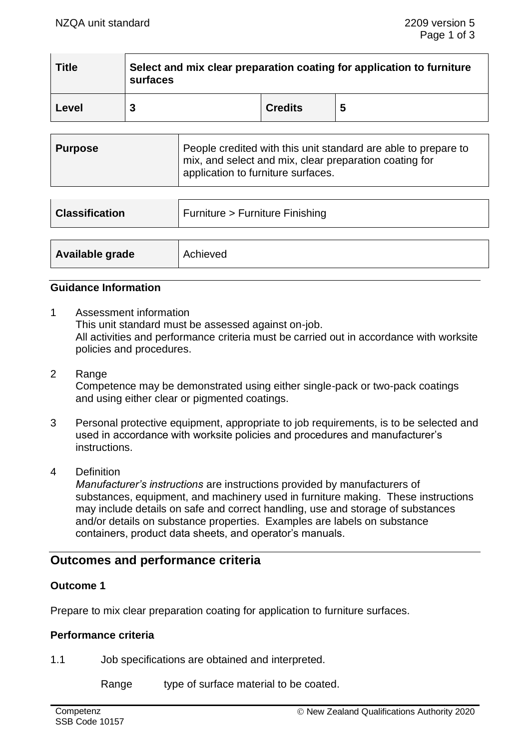| <b>Title</b> | Select and mix clear preparation coating for application to furniture<br>surfaces |                |   |
|--------------|-----------------------------------------------------------------------------------|----------------|---|
| Level        |                                                                                   | <b>Credits</b> | 5 |

| Purpose | People credited with this unit standard are able to prepare to<br>mix, and select and mix, clear preparation coating for<br>application to furniture surfaces. |
|---------|----------------------------------------------------------------------------------------------------------------------------------------------------------------|
|         |                                                                                                                                                                |

| <b>Classification</b> | Furniture > Furniture Finishing |  |
|-----------------------|---------------------------------|--|
|                       |                                 |  |
| Available grade       | Achieved                        |  |

## **Guidance Information**

- 1 Assessment information This unit standard must be assessed against on-job. All activities and performance criteria must be carried out in accordance with worksite policies and procedures.
- 2 Range Competence may be demonstrated using either single-pack or two-pack coatings and using either clear or pigmented coatings.
- 3 Personal protective equipment, appropriate to job requirements, is to be selected and used in accordance with worksite policies and procedures and manufacturer's instructions.
- 4 Definition

*Manufacturer's instructions* are instructions provided by manufacturers of substances, equipment, and machinery used in furniture making. These instructions may include details on safe and correct handling, use and storage of substances and/or details on substance properties. Examples are labels on substance containers, product data sheets, and operator's manuals.

# **Outcomes and performance criteria**

## **Outcome 1**

Prepare to mix clear preparation coating for application to furniture surfaces.

#### **Performance criteria**

1.1 Job specifications are obtained and interpreted.

Range type of surface material to be coated.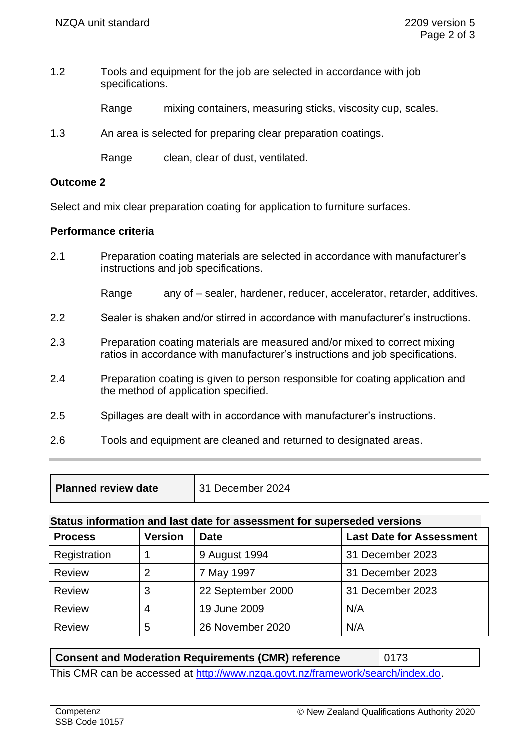1.2 Tools and equipment for the job are selected in accordance with job specifications.

Range mixing containers, measuring sticks, viscosity cup, scales.

1.3 An area is selected for preparing clear preparation coatings.

Range clean, clear of dust, ventilated.

## **Outcome 2**

Select and mix clear preparation coating for application to furniture surfaces.

## **Performance criteria**

2.1 Preparation coating materials are selected in accordance with manufacturer's instructions and job specifications.

Range any of – sealer, hardener, reducer, accelerator, retarder, additives.

- 2.2 Sealer is shaken and/or stirred in accordance with manufacturer's instructions.
- 2.3 Preparation coating materials are measured and/or mixed to correct mixing ratios in accordance with manufacturer's instructions and job specifications.
- 2.4 Preparation coating is given to person responsible for coating application and the method of application specified.
- 2.5 Spillages are dealt with in accordance with manufacturer's instructions.
- 2.6 Tools and equipment are cleaned and returned to designated areas.

| <b>Planned review date</b> | December 2024 |
|----------------------------|---------------|
|----------------------------|---------------|

#### **Status information and last date for assessment for superseded versions**

| <b>Process</b> | <b>Version</b> | <b>Date</b>       | <b>Last Date for Assessment</b> |
|----------------|----------------|-------------------|---------------------------------|
| Registration   |                | 9 August 1994     | 31 December 2023                |
| <b>Review</b>  | 2              | 7 May 1997        | 31 December 2023                |
| <b>Review</b>  | 3              | 22 September 2000 | 31 December 2023                |
| <b>Review</b>  | 4              | 19 June 2009      | N/A                             |
| <b>Review</b>  | 5              | 26 November 2020  | N/A                             |

| <b>Consent and Moderation Requirements (CMR) reference</b>                     | 0173 |  |  |  |
|--------------------------------------------------------------------------------|------|--|--|--|
| This CMR can be accessed at http://www.nzga.govt.nz/framework/search/index.do. |      |  |  |  |